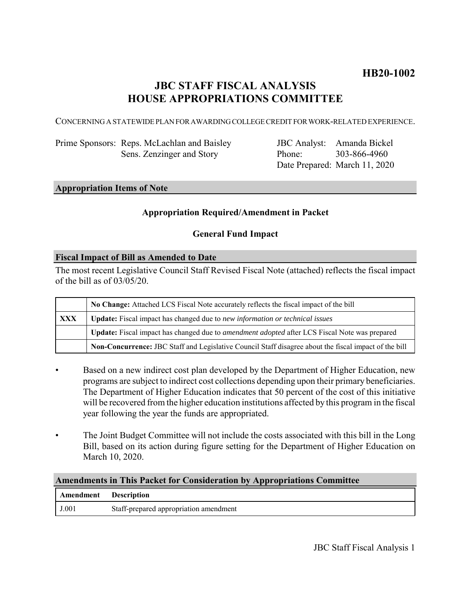# **HB20-1002**

# **JBC STAFF FISCAL ANALYSIS HOUSE APPROPRIATIONS COMMITTEE**

CONCERNING A STATEWIDE PLAN FOR AWARDING COLLEGE CREDIT FOR WORK-RELATED EXPERIENCE.

Prime Sponsors: Reps. McLachlan and Baisley Sens. Zenzinger and Story

JBC Analyst: Amanda Bickel Phone: Date Prepared: March 11, 2020 303-866-4960

# **Appropriation Items of Note**

# **Appropriation Required/Amendment in Packet**

# **General Fund Impact**

### **Fiscal Impact of Bill as Amended to Date**

The most recent Legislative Council Staff Revised Fiscal Note (attached) reflects the fiscal impact of the bill as of 03/05/20.

|            | No Change: Attached LCS Fiscal Note accurately reflects the fiscal impact of the bill                 |
|------------|-------------------------------------------------------------------------------------------------------|
| <b>XXX</b> | <b>Update:</b> Fiscal impact has changed due to new information or technical issues                   |
|            | Update: Fiscal impact has changed due to <i>amendment adopted</i> after LCS Fiscal Note was prepared  |
|            | Non-Concurrence: JBC Staff and Legislative Council Staff disagree about the fiscal impact of the bill |

- Based on a new indirect cost plan developed by the Department of Higher Education, new programs are subject to indirect cost collections depending upon their primary beneficiaries. The Department of Higher Education indicates that 50 percent of the cost of this initiative will be recovered from the higher education institutions affected by this program in the fiscal year following the year the funds are appropriated.
- The Joint Budget Committee will not include the costs associated with this bill in the Long Bill, based on its action during figure setting for the Department of Higher Education on March 10, 2020.

### **Amendments in This Packet for Consideration by Appropriations Committee**

| Amendment Description |                                        |
|-----------------------|----------------------------------------|
| J.001                 | Staff-prepared appropriation amendment |